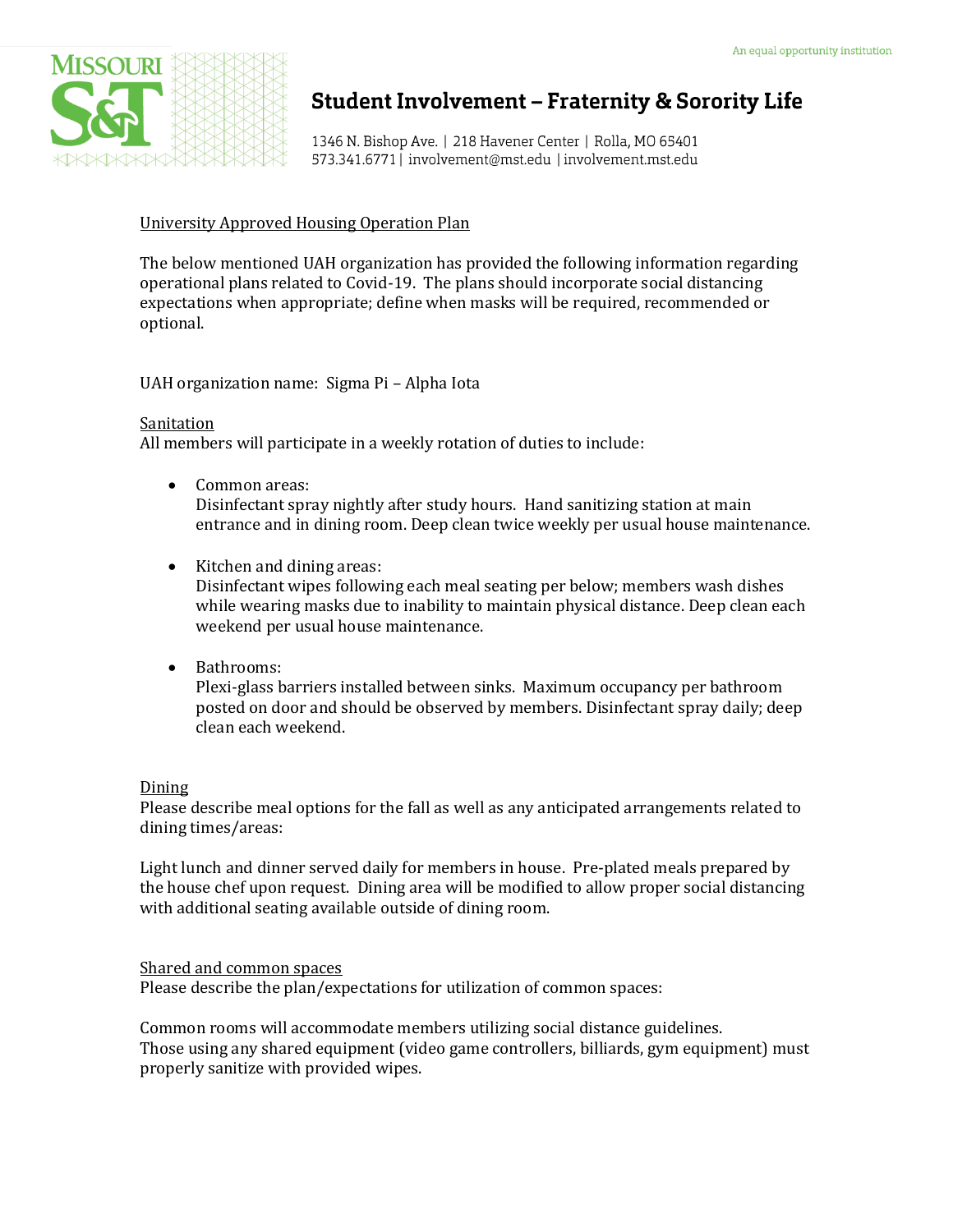

## **Student Involvement - Fraternity & Sorority Life**

1346 N. Bishop Ave. | 218 Havener Center | Rolla, MO 65401 573.341.6771 | involvement@mst.edu | involvement.mst.edu

#### University Approved Housing Operation Plan

The below mentioned UAH organization has provided the following information regarding operational plans related to Covid-19. The plans should incorporate social distancing expectations when appropriate; define when masks will be required, recommended or optional.

UAH organization name: Sigma Pi – Alpha Iota

#### Sanitation

All members will participate in a weekly rotation of duties to include:

- Common areas: Disinfectant spray nightly after study hours. Hand sanitizing station at main entrance and in dining room. Deep clean twice weekly per usual house maintenance.
- Kitchen and dining areas: Disinfectant wipes following each meal seating per below; members wash dishes while wearing masks due to inability to maintain physical distance. Deep clean each weekend per usual house maintenance.
- Bathrooms:

Plexi-glass barriers installed between sinks. Maximum occupancy per bathroom posted on door and should be observed by members. Disinfectant spray daily; deep clean each weekend.

#### Dining

Please describe meal options for the fall as well as any anticipated arrangements related to dining times/areas:

Light lunch and dinner served daily for members in house. Pre-plated meals prepared by the house chef upon request. Dining area will be modified to allow proper social distancing with additional seating available outside of dining room.

Shared and common spaces Please describe the plan/expectations for utilization of common spaces:

Common rooms will accommodate members utilizing social distance guidelines. Those using any shared equipment (video game controllers, billiards, gym equipment) must properly sanitize with provided wipes.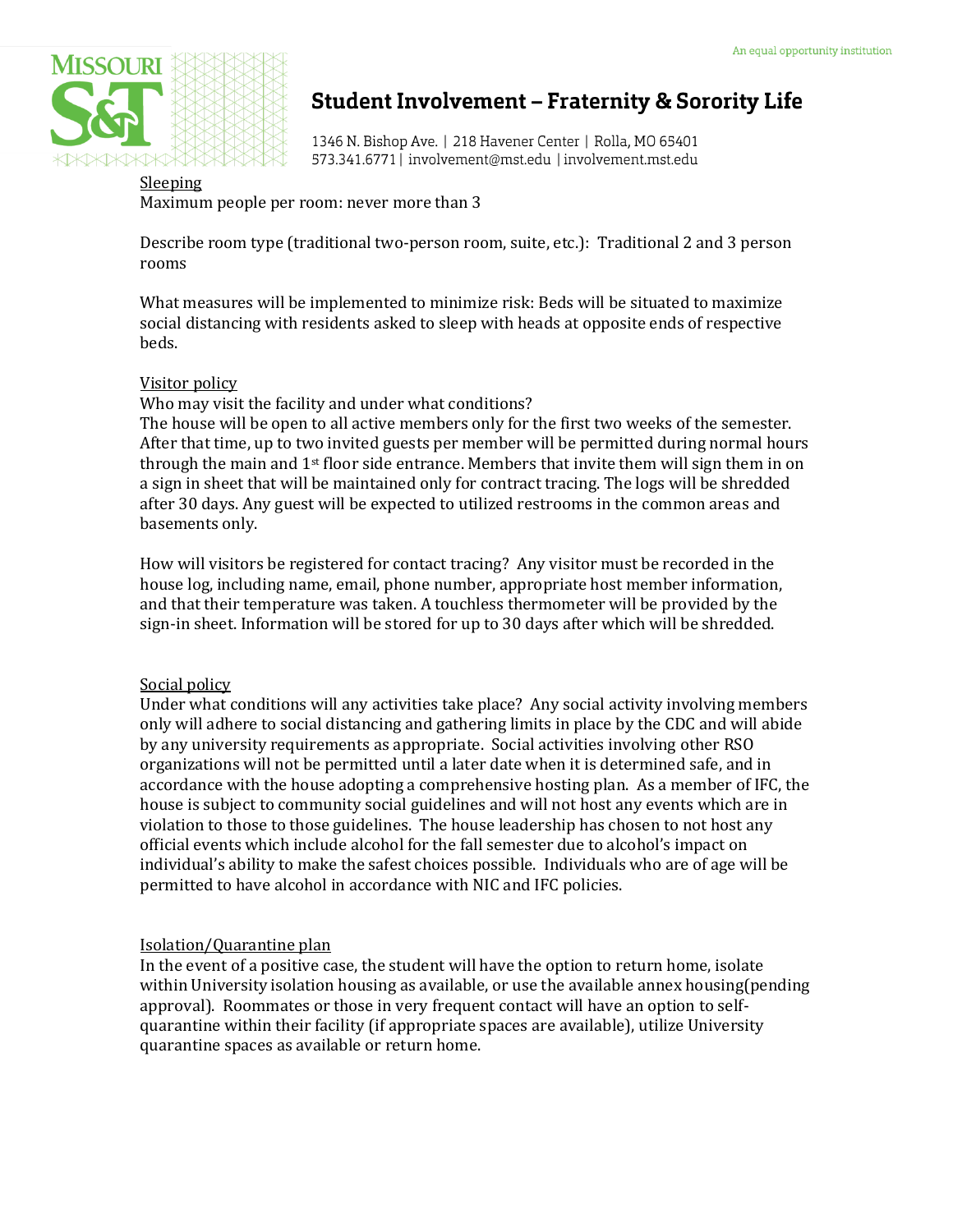

# **Student Involvement - Fraternity & Sorority Life**

1346 N. Bishop Ave. | 218 Havener Center | Rolla, MO 65401 573.341.6771 | involvement@mst.edu | involvement.mst.edu

### Sleeping

Maximum people per room: never more than 3

Describe room type (traditional two-person room, suite, etc.): Traditional 2 and 3 person rooms

What measures will be implemented to minimize risk: Beds will be situated to maximize social distancing with residents asked to sleep with heads at opposite ends of respective beds.

#### Visitor policy

Who may visit the facility and under what conditions?

The house will be open to all active members only for the first two weeks of the semester. After that time, up to two invited guests per member will be permitted during normal hours through the main and  $1<sup>st</sup>$  floor side entrance. Members that invite them will sign them in on a sign in sheet that will be maintained only for contract tracing. The logs will be shredded after 30 days. Any guest will be expected to utilized restrooms in the common areas and basements only.

How will visitors be registered for contact tracing? Any visitor must be recorded in the house log, including name, email, phone number, appropriate host member information, and that their temperature was taken. A touchless thermometer will be provided by the sign-in sheet. Information will be stored for up to 30 days after which will be shredded.

#### Social policy

Under what conditions will any activities take place? Any social activity involving members only will adhere to social distancing and gathering limits in place by the CDC and will abide by any university requirements as appropriate. Social activities involving other RSO organizations will not be permitted until a later date when it is determined safe, and in accordance with the house adopting a comprehensive hosting plan. As a member of IFC, the house is subject to community social guidelines and will not host any events which are in violation to those to those guidelines. The house leadership has chosen to not host any official events which include alcohol for the fall semester due to alcohol's impact on individual's ability to make the safest choices possible. Individuals who are of age will be permitted to have alcohol in accordance with NIC and IFC policies.

#### Isolation/Quarantine plan

In the event of a positive case, the student will have the option to return home, isolate within University isolation housing as available, or use the available annex housing(pending approval). Roommates or those in very frequent contact will have an option to selfquarantine within their facility (if appropriate spaces are available), utilize University quarantine spaces as available or return home.